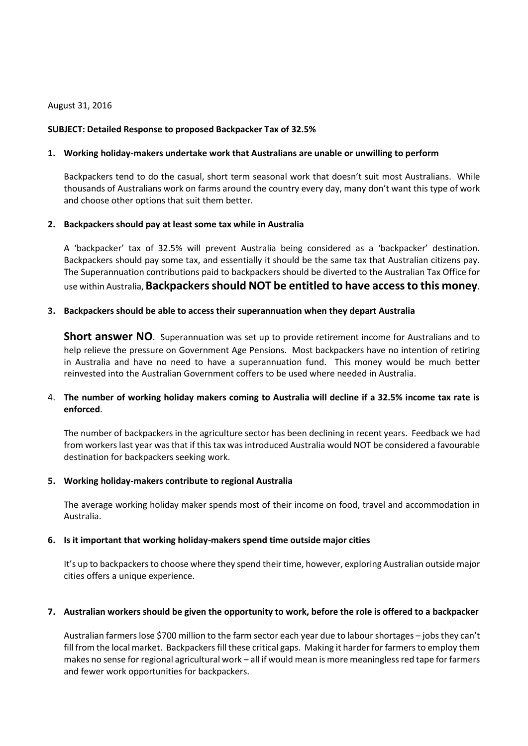#### August 31, 2016

#### **SUBJECT: Detailed Response to proposed Backpacker Tax of 32.5%**

#### **1. Working holiday-makers undertake work that Australians are unable or unwilling to perform**

Backpackers tend to do the casual, short term seasonal work that doesn't suit most Australians. While thousands of Australians work on farms around the country every day, many don't want this type of work and choose other options that suit them better.

#### **2. Backpackers should pay at least some tax while in Australia**

A 'backpacker' tax of 32.5% will prevent Australia being considered as a 'backpacker' destination. Backpackers should pay some tax, and essentially it should be the same tax that Australian citizens pay. The Superannuation contributions paid to backpackers should be diverted to the Australian Tax Office for use within Australia, **Backpackers should NOT be entitled to have access to this money**.

#### **3. Backpackers should be able to access their superannuation when they depart Australia**

**Short answer NO**. Superannuation was set up to provide retirement income for Australians and to help relieve the pressure on Government Age Pensions. Most backpackers have no intention of retiring in Australia and have no need to have a superannuation fund. This money would be much better reinvested into the Australian Government coffers to be used where needed in Australia.

# 4. **The number of working holiday makers coming to Australia will decline if a 32.5% income tax rate is enforced**.

The number of backpackers in the agriculture sector has been declining in recent years. Feedback we had from workers last year was that if this tax was introduced Australia would NOT be considered a favourable destination for backpackers seeking work.

## **5. Working holiday-makers contribute to regional Australia**

The average working holiday maker spends most of their income on food, travel and accommodation in Australia.

## **6. Is it important that working holiday-makers spend time outside major cities**

It's up to backpackers to choose where they spend their time, however, exploring Australian outside major cities offers a unique experience.

## **7. Australian workers should be given the opportunity to work, before the role is offered to a backpacker**

Australian farmers lose \$700 million to the farm sector each year due to labour shortages – jobs they can't fill from the local market. Backpackers fill these critical gaps. Making it harder for farmers to employ them makes no sense for regional agricultural work – all if would mean is more meaningless red tape for farmers and fewer work opportunities for backpackers.